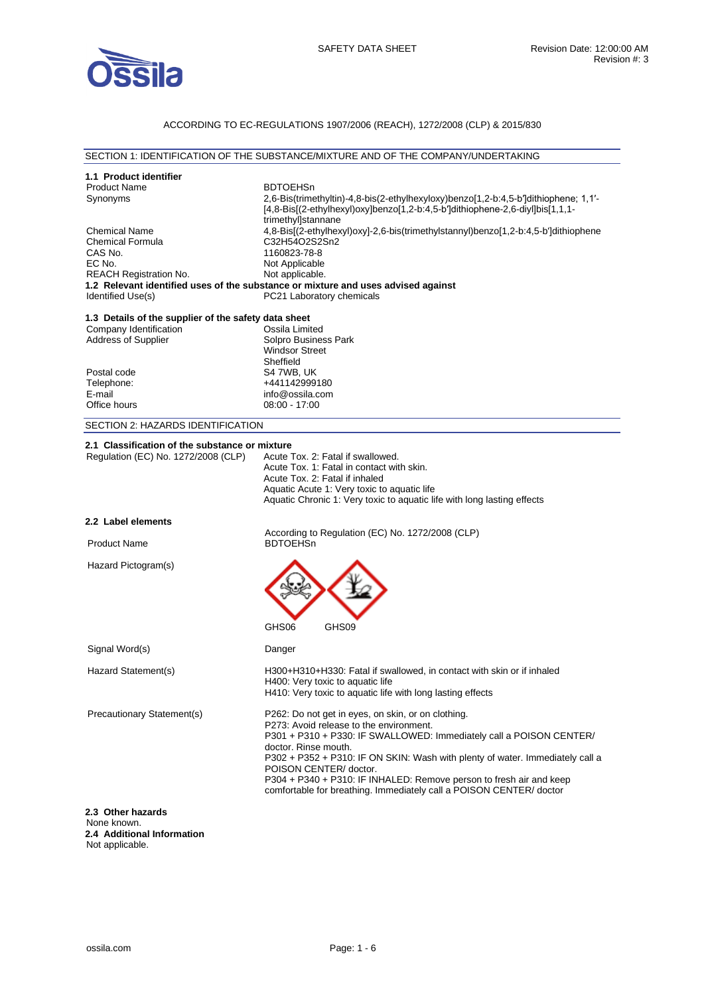

## ACCORDING TO EC-REGULATIONS 1907/2006 (REACH), 1272/2008 (CLP) & 2015/830

### SECTION 1: IDENTIFICATION OF THE SUBSTANCE/MIXTURE AND OF THE COMPANY/UNDERTAKING

| 1.1 Product identifier<br><b>Product Name</b><br>Synonyms<br><b>Chemical Name</b><br><b>Chemical Formula</b><br>CAS No.<br>EC No.<br><b>REACH Registration No.</b><br>Identified Use(s) | <b>BDTOEHSn</b><br>2,6-Bis(trimethyltin)-4,8-bis(2-ethylhexyloxy)benzo[1,2-b:4,5-b']dithiophene; 1,1'-<br>[4,8-Bis](2-ethylhexyl)oxylbenzo[1,2-b:4,5-b']dithiophene-2,6-divl]bis[1,1,1-<br>trimethyl]stannane<br>4,8-Bis[(2-ethylhexyl)oxy]-2,6-bis(trimethylstannyl)benzo[1,2-b:4,5-b']dithiophene<br>C32H54O2S2Sn2<br>1160823-78-8<br>Not Applicable<br>Not applicable.<br>1.2 Relevant identified uses of the substance or mixture and uses advised against<br>PC21 Laboratory chemicals |
|-----------------------------------------------------------------------------------------------------------------------------------------------------------------------------------------|---------------------------------------------------------------------------------------------------------------------------------------------------------------------------------------------------------------------------------------------------------------------------------------------------------------------------------------------------------------------------------------------------------------------------------------------------------------------------------------------|
| 1.3 Details of the supplier of the safety data sheet<br>Company Identification<br><b>Address of Supplier</b><br>Postal code<br>Telephone:<br>E-mail<br>Office hours                     | Ossila Limited<br>Solpro Business Park<br><b>Windsor Street</b><br>Sheffield<br>S4 7WB, UK<br>+441142999180<br>info@ossila.com<br>08:00 - 17:00                                                                                                                                                                                                                                                                                                                                             |
| SECTION 2: HAZARDS IDENTIFICATION                                                                                                                                                       |                                                                                                                                                                                                                                                                                                                                                                                                                                                                                             |
| 2.1 Classification of the substance or mixture<br>Regulation (EC) No. 1272/2008 (CLP)                                                                                                   | Acute Tox. 2: Fatal if swallowed.<br>Acute Tox. 1: Fatal in contact with skin.<br>Acute Tox. 2: Fatal if inhaled<br>Aquatic Acute 1: Very toxic to aquatic life<br>Aquatic Chronic 1: Very toxic to aquatic life with long lasting effects                                                                                                                                                                                                                                                  |
| 2.2 Label elements                                                                                                                                                                      |                                                                                                                                                                                                                                                                                                                                                                                                                                                                                             |
| <b>Product Name</b>                                                                                                                                                                     | According to Regulation (EC) No. 1272/2008 (CLP)<br><b>BDTOEHSn</b>                                                                                                                                                                                                                                                                                                                                                                                                                         |
| Hazard Pictogram(s)                                                                                                                                                                     | GHS06<br>GHS09                                                                                                                                                                                                                                                                                                                                                                                                                                                                              |
| Signal Word(s)                                                                                                                                                                          | Danger                                                                                                                                                                                                                                                                                                                                                                                                                                                                                      |
| Hazard Statement(s)                                                                                                                                                                     | H300+H310+H330: Fatal if swallowed, in contact with skin or if inhaled<br>H400: Very toxic to aquatic life<br>H410: Very toxic to aquatic life with long lasting effects                                                                                                                                                                                                                                                                                                                    |
| Precautionary Statement(s)                                                                                                                                                              | P262: Do not get in eyes, on skin, or on clothing.<br>P273: Avoid release to the environment.<br>P301 + P310 + P330: IF SWALLOWED: Immediately call a POISON CENTER/<br>doctor. Rinse mouth.<br>P302 + P352 + P310: IF ON SKIN: Wash with plenty of water. Immediately call a<br>POISON CENTER/ doctor.<br>P304 + P340 + P310: IF INHALED: Remove person to fresh air and keep<br>comfortable for breathing. Immediately call a POISON CENTER/doctor                                        |
| 2.3 Other hazards<br>None known.                                                                                                                                                        |                                                                                                                                                                                                                                                                                                                                                                                                                                                                                             |

**2.4 Additional Information**  Not applicable.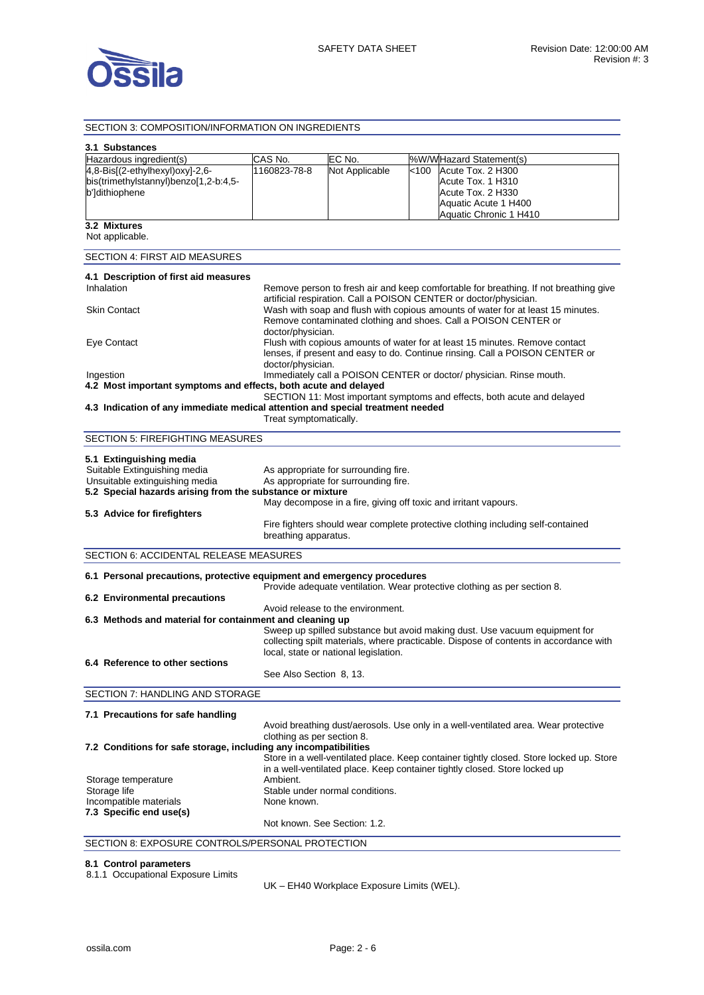

### SECTION 3: COMPOSITION/INFORMATION ON INGREDIENTS **3.1 Substances**  Hazardous ingredient(s) CAS No. FC No. 1%W/W Hazard Statement(s) 4,8-Bis[(2-ethylhexyl)oxy]-2,6 bis(trimethylstannyl)benzo[1,2-b:4,5 b']dithiophene 1160823-78-8 Not Applicable <100 Acute Tox. 2 H300 Acute Tox. 1 H310 Acute Tox. 2 H330 Aquatic Acute 1 H400 Aquatic Chronic 1 H410 **3.2 Mixtures**  Not applicable. SECTION 4: FIRST AID MEASURES **4.1 Description of first aid measures**  Inhalation **Remove person to fresh air and keep comfortable for breathing. If not breathing give** artificial respiration. Call a POISON CENTER or doctor/physician. Skin Contact **Wash with soap and flush with copious amounts of water for at least 15 minutes.** Remove contaminated clothing and shoes. Call a POISON CENTER or doctor/physician. Eye Contact Flush with copious amounts of water for at least 15 minutes. Remove contact lenses, if present and easy to do. Continue rinsing. Call a POISON CENTER or doctor/physician. Ingestion Immediately call a POISON CENTER or doctor/ physician. Rinse mouth. **4.2 Most important symptoms and effects, both acute and delayed**  SECTION 11: Most important symptoms and effects, both acute and delayed **4.3 Indication of any immediate medical attention and special treatment needed**  Treat symptomatically. SECTION 5: FIREFIGHTING MEASURES **5.1 Extinguishing media**  As appropriate for surrounding fire. Unsuitable extinguishing media As appropriate for surrounding fire. **5.2 Special hazards arising from the substance or mixture**  May decompose in a fire, giving off toxic and irritant vapours. **5.3 Advice for firefighters**  Fire fighters should wear complete protective clothing including self-contained breathing apparatus. SECTION 6: ACCIDENTAL RELEASE MEASURES **6.1 Personal precautions, protective equipment and emergency procedures**  Provide adequate ventilation. Wear protective clothing as per section 8. **6.2 Environmental precautions**  Avoid release to the environment. **6.3 Methods and material for containment and cleaning up**  Sweep up spilled substance but avoid making dust. Use vacuum equipment for collecting spilt materials, where practicable. Dispose of contents in accordance with local, state or national legislation. **6.4 Reference to other sections**  See Also Section 8, 13. SECTION 7: HANDLING AND STORAGE **7.1 Precautions for safe handling**  Avoid breathing dust/aerosols. Use only in a well-ventilated area. Wear protective clothing as per section 8. **7.2 Conditions for safe storage, including any incompatibilities**  Store in a well-ventilated place. Keep container tightly closed. Store locked up. Store in a well-ventilated place. Keep container tightly closed. Store locked up Storage temperature **Ambient.** Storage life Stable under normal conditions. Incompatible materials None known **7.3 Specific end use(s)**  Not known. See Section: 1.2. SECTION 8: EXPOSURE CONTROLS/PERSONAL PROTECTION

#### **8.1 Control parameters**

8.1.1 Occupational Exposure Limits

UK – EH40 Workplace Exposure Limits (WEL).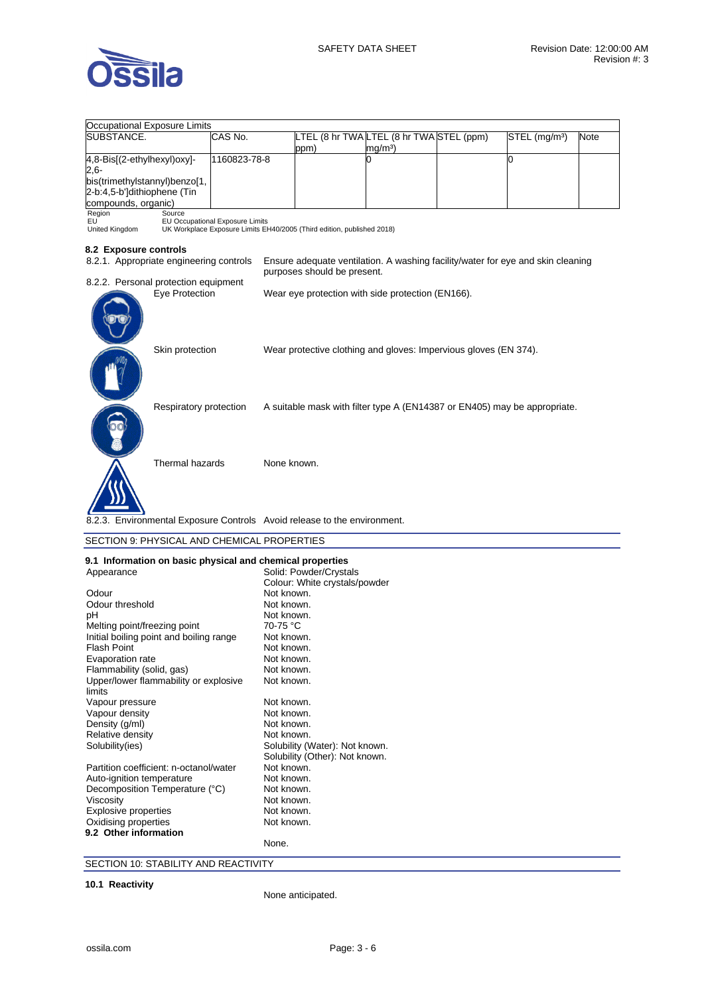

| Occupational Exposure Limits                                             |                                 |             |                                                                        |                                                                                 |  |                           |             |
|--------------------------------------------------------------------------|---------------------------------|-------------|------------------------------------------------------------------------|---------------------------------------------------------------------------------|--|---------------------------|-------------|
| SUBSTANCE.                                                               | CAS No.                         |             |                                                                        | LTEL (8 hr TWA LTEL (8 hr TWA STEL (ppm)                                        |  | STEL (mg/m <sup>3</sup> ) | <b>Note</b> |
|                                                                          |                                 |             | ppm)                                                                   | mg/m <sup>3</sup>                                                               |  |                           |             |
| 4,8-Bis[(2-ethylhexyl)oxy]-                                              | 1160823-78-8                    |             |                                                                        | 0                                                                               |  | 0                         |             |
| $2,6-$                                                                   |                                 |             |                                                                        |                                                                                 |  |                           |             |
| bis(trimethylstannyl)benzo[1,                                            |                                 |             |                                                                        |                                                                                 |  |                           |             |
| 2-b:4,5-b']dithiophene (Tin                                              |                                 |             |                                                                        |                                                                                 |  |                           |             |
| compounds, organic)                                                      |                                 |             |                                                                        |                                                                                 |  |                           |             |
| Region<br>Source                                                         |                                 |             |                                                                        |                                                                                 |  |                           |             |
| EU                                                                       | EU Occupational Exposure Limits |             |                                                                        |                                                                                 |  |                           |             |
| United Kingdom                                                           |                                 |             | UK Workplace Exposure Limits EH40/2005 (Third edition, published 2018) |                                                                                 |  |                           |             |
| 8.2 Exposure controls                                                    |                                 |             |                                                                        |                                                                                 |  |                           |             |
| 8.2.1. Appropriate engineering controls                                  |                                 |             |                                                                        | Ensure adequate ventilation. A washing facility/water for eye and skin cleaning |  |                           |             |
|                                                                          |                                 |             |                                                                        |                                                                                 |  |                           |             |
|                                                                          |                                 |             | purposes should be present.                                            |                                                                                 |  |                           |             |
| 8.2.2. Personal protection equipment                                     |                                 |             |                                                                        |                                                                                 |  |                           |             |
| Eye Protection                                                           |                                 |             |                                                                        | Wear eye protection with side protection (EN166).                               |  |                           |             |
|                                                                          |                                 |             |                                                                        |                                                                                 |  |                           |             |
|                                                                          |                                 |             |                                                                        |                                                                                 |  |                           |             |
|                                                                          |                                 |             |                                                                        |                                                                                 |  |                           |             |
|                                                                          |                                 |             |                                                                        |                                                                                 |  |                           |             |
| Skin protection                                                          |                                 |             |                                                                        | Wear protective clothing and gloves: Impervious gloves (EN 374).                |  |                           |             |
|                                                                          |                                 |             |                                                                        |                                                                                 |  |                           |             |
|                                                                          |                                 |             |                                                                        |                                                                                 |  |                           |             |
|                                                                          |                                 |             |                                                                        |                                                                                 |  |                           |             |
|                                                                          |                                 |             |                                                                        |                                                                                 |  |                           |             |
| Respiratory protection                                                   |                                 |             |                                                                        | A suitable mask with filter type A (EN14387 or EN405) may be appropriate.       |  |                           |             |
|                                                                          |                                 |             |                                                                        |                                                                                 |  |                           |             |
|                                                                          |                                 |             |                                                                        |                                                                                 |  |                           |             |
|                                                                          |                                 |             |                                                                        |                                                                                 |  |                           |             |
|                                                                          |                                 |             |                                                                        |                                                                                 |  |                           |             |
| Thermal hazards                                                          |                                 | None known. |                                                                        |                                                                                 |  |                           |             |
|                                                                          |                                 |             |                                                                        |                                                                                 |  |                           |             |
|                                                                          |                                 |             |                                                                        |                                                                                 |  |                           |             |
|                                                                          |                                 |             |                                                                        |                                                                                 |  |                           |             |
|                                                                          |                                 |             |                                                                        |                                                                                 |  |                           |             |
| 8.2.3. Environmental Exposure Controls Avoid release to the environment. |                                 |             |                                                                        |                                                                                 |  |                           |             |
|                                                                          |                                 |             |                                                                        |                                                                                 |  |                           |             |
| SECTION 9: PHYSICAL AND CHEMICAL PROPERTIES                              |                                 |             |                                                                        |                                                                                 |  |                           |             |
|                                                                          |                                 |             |                                                                        |                                                                                 |  |                           |             |
| 9.1 Information on basic physical and chemical properties                |                                 |             |                                                                        |                                                                                 |  |                           |             |
| Appearance                                                               |                                 |             | Solid: Powder/Crystals                                                 |                                                                                 |  |                           |             |
|                                                                          |                                 |             | Colour: White crystals/powder                                          |                                                                                 |  |                           |             |
| Odour                                                                    |                                 | Not known.  |                                                                        |                                                                                 |  |                           |             |
| Odour threshold                                                          |                                 | Not known.  |                                                                        |                                                                                 |  |                           |             |
| pН                                                                       |                                 | Not known.  |                                                                        |                                                                                 |  |                           |             |
| Melting point/freezing point                                             |                                 | 70-75 °C    |                                                                        |                                                                                 |  |                           |             |
| Initial boiling point and boiling range                                  |                                 | Not known.  |                                                                        |                                                                                 |  |                           |             |
|                                                                          |                                 |             |                                                                        |                                                                                 |  |                           |             |

| Melting point/freezing point                    | 70-75 °C                                                         |
|-------------------------------------------------|------------------------------------------------------------------|
| Initial boiling point and boiling range         | Not known.                                                       |
| <b>Flash Point</b>                              | Not known.                                                       |
| Evaporation rate                                | Not known.                                                       |
| Flammability (solid, gas)                       | Not known.                                                       |
| Upper/lower flammability or explosive<br>limits | Not known.                                                       |
| Vapour pressure                                 | Not known.                                                       |
| Vapour density                                  | Not known.                                                       |
| Density (g/ml)                                  | Not known.                                                       |
| Relative density                                | Not known.                                                       |
| Solubility(ies)                                 | Solubility (Water): Not known.<br>Solubility (Other): Not known. |
| Partition coefficient: n-octanol/water          | Not known.                                                       |
| Auto-ignition temperature                       | Not known.                                                       |
| Decomposition Temperature (°C)                  | Not known.                                                       |
| Viscosity                                       | Not known.                                                       |
| <b>Explosive properties</b>                     | Not known.                                                       |
| Oxidising properties                            | Not known.                                                       |
| 9.2 Other information                           |                                                                  |
|                                                 | None.                                                            |

SECTION 10: STABILITY AND REACTIVITY

**10.1 Reactivity** 

None anticipated.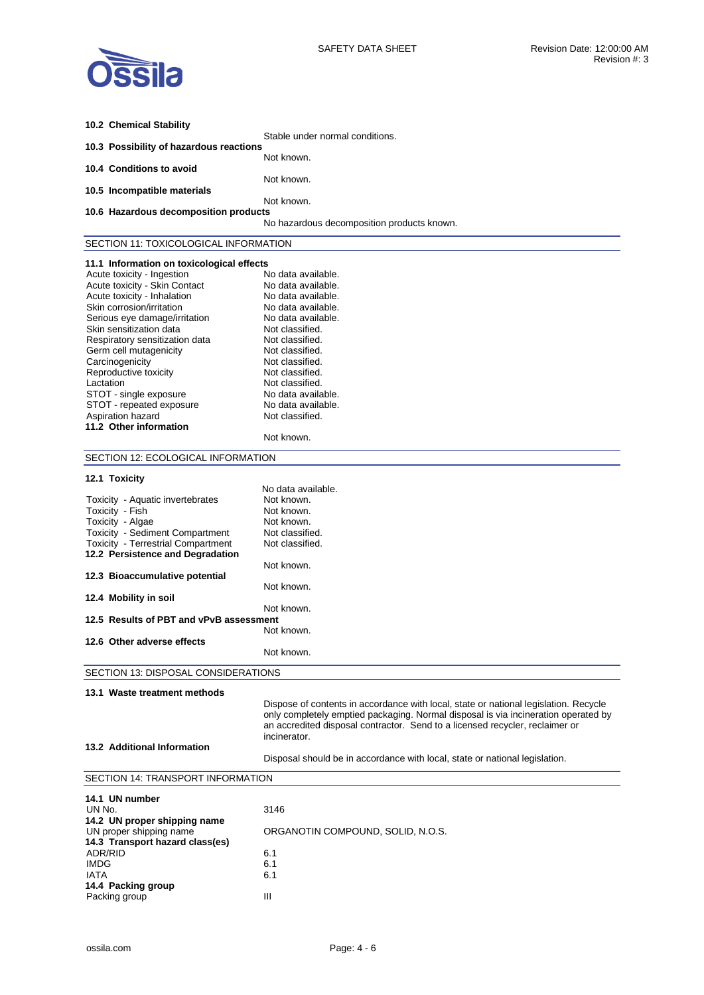

| 10.2 Chemical Stability                                                 |                                                                                      |
|-------------------------------------------------------------------------|--------------------------------------------------------------------------------------|
|                                                                         | Stable under normal conditions.                                                      |
| 10.3 Possibility of hazardous reactions                                 | Not known.                                                                           |
| 10.4 Conditions to avoid                                                |                                                                                      |
|                                                                         | Not known.                                                                           |
| 10.5 Incompatible materials                                             | Not known.                                                                           |
| 10.6 Hazardous decomposition products                                   |                                                                                      |
|                                                                         | No hazardous decomposition products known.                                           |
| SECTION 11: TOXICOLOGICAL INFORMATION                                   |                                                                                      |
|                                                                         |                                                                                      |
| 11.1 Information on toxicological effects<br>Acute toxicity - Ingestion | No data available.                                                                   |
| Acute toxicity - Skin Contact                                           | No data available.                                                                   |
| Acute toxicity - Inhalation                                             | No data available.                                                                   |
| Skin corrosion/irritation                                               | No data available.                                                                   |
| Serious eye damage/irritation                                           | No data available.                                                                   |
| Skin sensitization data                                                 | Not classified.                                                                      |
|                                                                         |                                                                                      |
| Respiratory sensitization data<br>Germ cell mutagenicity                | Not classified.<br>Not classified.                                                   |
|                                                                         |                                                                                      |
| Carcinogenicity                                                         | Not classified.                                                                      |
| Reproductive toxicity                                                   | Not classified.                                                                      |
| Lactation                                                               | Not classified.                                                                      |
| STOT - single exposure                                                  | No data available.                                                                   |
| STOT - repeated exposure                                                | No data available.                                                                   |
| Aspiration hazard                                                       | Not classified.                                                                      |
| 11.2 Other information                                                  | Not known.                                                                           |
|                                                                         |                                                                                      |
| SECTION 12: ECOLOGICAL INFORMATION                                      |                                                                                      |
| 12.1 Toxicity                                                           |                                                                                      |
|                                                                         | No data available.                                                                   |
| Toxicity - Aquatic invertebrates                                        | Not known.                                                                           |
| Toxicity - Fish                                                         | Not known.                                                                           |
| Toxicity - Algae                                                        | Not known.                                                                           |
| Toxicity - Sediment Compartment                                         | Not classified.                                                                      |
| <b>Toxicity - Terrestrial Compartment</b>                               | Not classified.                                                                      |
| 12.2 Persistence and Degradation                                        |                                                                                      |
|                                                                         | Not known.                                                                           |
| 12.3 Bioaccumulative potential                                          | Not known.                                                                           |
| 12.4 Mobility in soil                                                   |                                                                                      |
|                                                                         | Not known.                                                                           |
| 12.5 Results of PBT and vPvB assessment                                 |                                                                                      |
|                                                                         | Not known.                                                                           |
| 12.6 Other adverse effects                                              |                                                                                      |
|                                                                         | Not known.                                                                           |
| SECTION 13: DISPOSAL CONSIDERATIONS                                     |                                                                                      |
| 13.1 Waste treatment methods                                            |                                                                                      |
|                                                                         | Dispose of contents in accordance with local, state or national legislation. Recycle |
|                                                                         | only completely emptied packaging. Normal disposal is via incineration operated by   |
|                                                                         | an accredited disposal contractor. Send to a licensed recycler, reclaimer or         |
|                                                                         | incinerator.                                                                         |
| 13.2 Additional Information                                             |                                                                                      |
|                                                                         | Disposal should be in accordance with local, state or national legislation.          |
|                                                                         |                                                                                      |
| SECTION 14: TRANSPORT INFORMATION                                       |                                                                                      |
| 14.1 UN number                                                          |                                                                                      |
| UN No.                                                                  | 3146                                                                                 |
| 14.2 UN proper shipping name                                            |                                                                                      |
| UN proper shipping name                                                 | ORGANOTIN COMPOUND, SOLID, N.O.S.                                                    |
| 14.3 Transport hazard class(es)                                         |                                                                                      |
| ADR/RID                                                                 | 6.1                                                                                  |
|                                                                         |                                                                                      |
| <b>IMDG</b>                                                             | 6.1                                                                                  |
| <b>IATA</b>                                                             | 6.1                                                                                  |
| 14.4 Packing group                                                      |                                                                                      |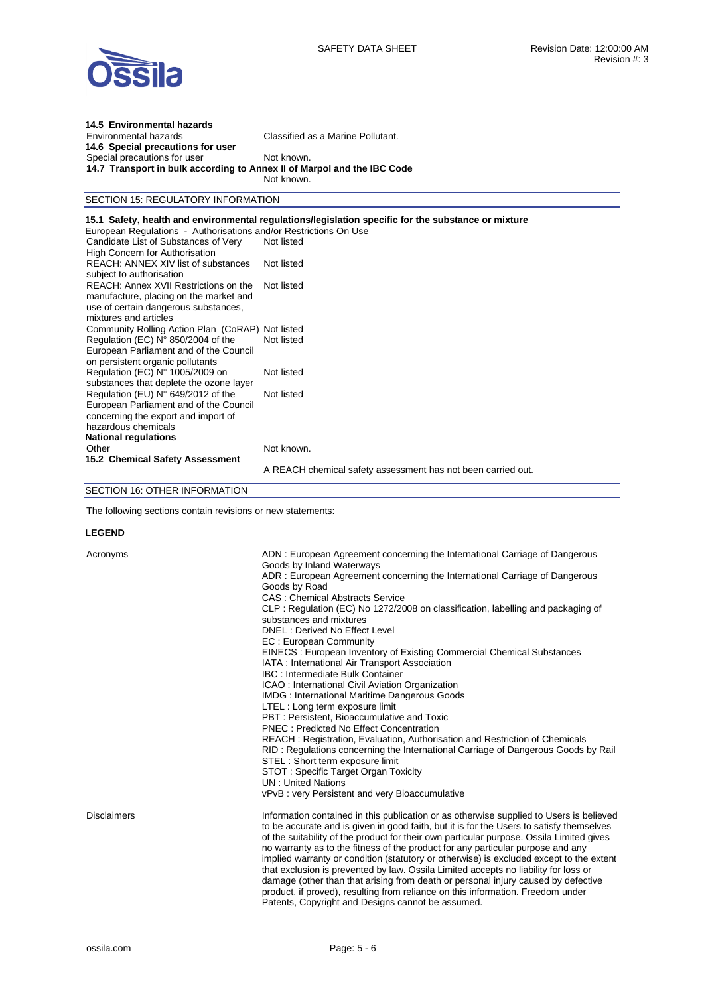#### **14.5 Environmental hazards** Classified as a Marine Pollutant. **14.6 Special precautions for user**  Special precautions for user Not known. **14.7 Transport in bulk according to Annex II of Marpol and the IBC Code** Not known.

## SECTION 15: REGULATORY INFORMATION

### **15.1 Safety, health and environmental regulations/legislation specific for the substance or mixture**

| European Regulations - Authorisations and/or Restrictions On Use |
|------------------------------------------------------------------|
| Not listed                                                       |
|                                                                  |
| Not listed                                                       |
| Not listed                                                       |
| Community Rolling Action Plan (CoRAP) Not listed                 |
| Not listed                                                       |
|                                                                  |
| Not listed                                                       |
|                                                                  |
| Not listed                                                       |
|                                                                  |
|                                                                  |
|                                                                  |
|                                                                  |
| Not known.                                                       |
|                                                                  |
| A REACH chemical safety assessment has not been carried out.     |
|                                                                  |

# SECTION 16: OTHER INFORMATION

The following sections contain revisions or new statements:

#### **LEGEND**

| Acronyms    | ADN: European Agreement concerning the International Carriage of Dangerous<br>Goods by Inland Waterways<br>ADR: European Agreement concerning the International Carriage of Dangerous<br>Goods by Road<br><b>CAS: Chemical Abstracts Service</b><br>CLP: Regulation (EC) No 1272/2008 on classification, labelling and packaging of<br>substances and mixtures<br>DNEL: Derived No Effect Level<br>EC: European Community<br>EINECS: European Inventory of Existing Commercial Chemical Substances<br>IATA : International Air Transport Association<br><b>IBC: Intermediate Bulk Container</b><br>ICAO : International Civil Aviation Organization<br><b>IMDG: International Maritime Dangerous Goods</b><br>LTEL: Long term exposure limit<br>PBT: Persistent, Bioaccumulative and Toxic<br><b>PNEC: Predicted No Effect Concentration</b><br>REACH: Registration, Evaluation, Authorisation and Restriction of Chemicals<br>RID: Regulations concerning the International Carriage of Dangerous Goods by Rail<br>STEL: Short term exposure limit<br>STOT: Specific Target Organ Toxicity<br><b>UN: United Nations</b><br>vPvB: very Persistent and very Bioaccumulative |
|-------------|----------------------------------------------------------------------------------------------------------------------------------------------------------------------------------------------------------------------------------------------------------------------------------------------------------------------------------------------------------------------------------------------------------------------------------------------------------------------------------------------------------------------------------------------------------------------------------------------------------------------------------------------------------------------------------------------------------------------------------------------------------------------------------------------------------------------------------------------------------------------------------------------------------------------------------------------------------------------------------------------------------------------------------------------------------------------------------------------------------------------------------------------------------------------------|
| Disclaimers | Information contained in this publication or as otherwise supplied to Users is believed<br>to be accurate and is given in good faith, but it is for the Users to satisfy themselves<br>of the suitability of the product for their own particular purpose. Ossila Limited gives<br>no warranty as to the fitness of the product for any particular purpose and any<br>implied warranty or condition (statutory or otherwise) is excluded except to the extent<br>that exclusion is prevented by law. Ossila Limited accepts no liability for loss or<br>damage (other than that arising from death or personal injury caused by defective<br>product, if proved), resulting from reliance on this information. Freedom under<br>Patents, Copyright and Designs cannot be assumed.                                                                                                                                                                                                                                                                                                                                                                                          |